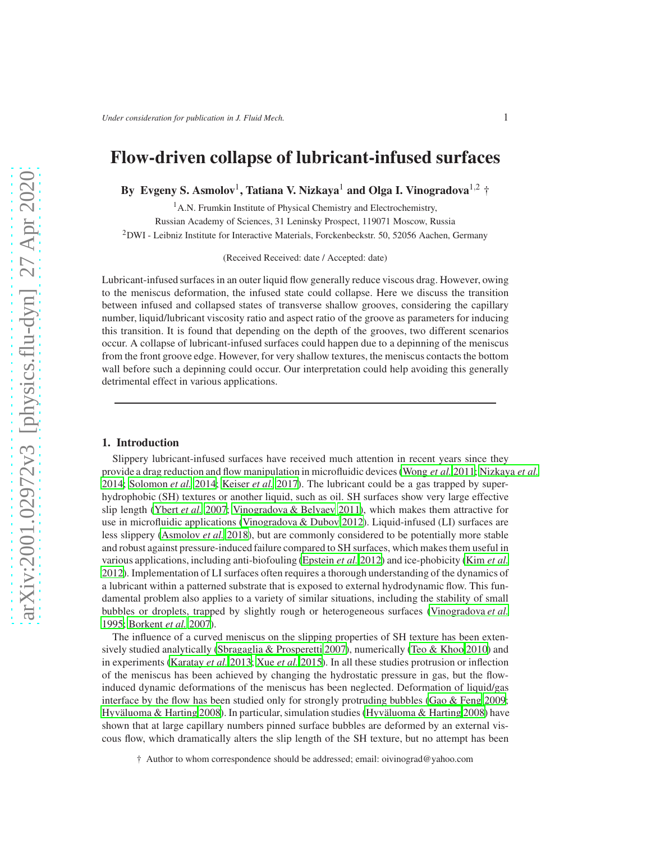# Flow-driven collapse of lubricant-infused surfaces

By Evgeny S. Asmolov<sup>1</sup>, Tatiana V. Nizkaya<sup>1</sup> and Olga I. Vinogradova<sup>1,2</sup> †

<sup>1</sup>A.N. Frumkin Institute of Physical Chemistry and Electrochemistry, Russian Academy of Sciences, 31 Leninsky Prospect, 119071 Moscow, Russia <sup>2</sup>DWI - Leibniz Institute for Interactive Materials, Forckenbeckstr. 50, 52056 Aachen, Germany

(Received Received: date / Accepted: date)

Lubricant-infused surfaces in an outer liquid flow generally reduce viscous drag. However, owing to the meniscus deformation, the infused state could collapse. Here we discuss the transition between infused and collapsed states of transverse shallow grooves, considering the capillary number, liquid/lubricant viscosity ratio and aspect ratio of the groove as parameters for inducing this transition. It is found that depending on the depth of the grooves, two different scenarios occur. A collapse of lubricant-infused surfaces could happen due to a depinning of the meniscus from the front groove edge. However, for very shallow textures, the meniscus contacts the bottom wall before such a depinning could occur. Our interpretation could help avoiding this generally detrimental effect in various applications.

### 1. Introduction

Slippery lubricant-infused surfaces have received much attention in recent years since they provide a drag reduction and flow manipulation in microfluidic devices [\(Wong](#page-12-0) *et al.* [2011;](#page-12-0) [Nizkaya](#page-12-1) *et al.* [2014;](#page-12-1) [Solomon](#page-12-2) *et al.* [2014](#page-12-2); [Keiser](#page-12-3) *et al.* [2017](#page-12-3)). The lubricant could be a gas trapped by superhydrophobic (SH) textures or another liquid, such as oil. SH surfaces show very large effective slip length [\(Ybert](#page-12-4) *et al.* [2007](#page-12-4); [Vinogradova & Belyaev 2011\)](#page-12-5), which makes them attractive for use in microfluidic applications [\(Vinogradova & Dubov 2012\)](#page-12-6). Liquid-infused (LI) surfaces are less slippery [\(Asmolov](#page-11-0) *et al.* [2018\)](#page-11-0), but are commonly considered to be potentially more stable and robust against pressure-induced failure compared to SH surfaces, which makes them useful in various applications, including anti-biofouling [\(Epstein](#page-11-1) *et al.* [2012\)](#page-11-1) and ice-phobicity (Kim *[et al.](#page-12-7)* [2012\)](#page-12-7). Implementation of LI surfaces often requires a thorough understanding of the dynamics of a lubricant within a patterned substrate that is exposed to external hydrodynamic flow. This fundamental problem also applies to a variety of similar situations, including the stability of small bubbles or droplets, trapped by slightly rough or heterogeneous surfaces [\(Vinogradova](#page-12-8) *et al.* [1995;](#page-12-8) [Borkent](#page-11-2) *et al.* [2007\)](#page-11-2).

The influence of a curved meniscus on the slipping properties of SH texture has been extensively studied analytically [\(Sbragaglia & Prosperetti 2007\)](#page-12-9), numerically [\(Teo & Khoo 2010\)](#page-12-10) and in experiments [\(Karatay](#page-12-11) *et al.* [2013;](#page-12-11) Xue *[et al.](#page-12-12)* [2015\)](#page-12-12). In all these studies protrusion or inflection of the meniscus has been achieved by changing the hydrostatic pressure in gas, but the flowinduced dynamic deformations of the meniscus has been neglected. Deformation of liquid/gas interface by the flow has been studied only for strongly protruding bubbles [\(Gao & Feng 2009;](#page-11-3) Hyväluoma & Harting 2008). In particular, simulation studies (Hyväluoma & Harting 2008) have shown that at large capillary numbers pinned surface bubbles are deformed by an external viscous flow, which dramatically alters the slip length of the SH texture, but no attempt has been

† Author to whom correspondence should be addressed; email: oivinograd@yahoo.com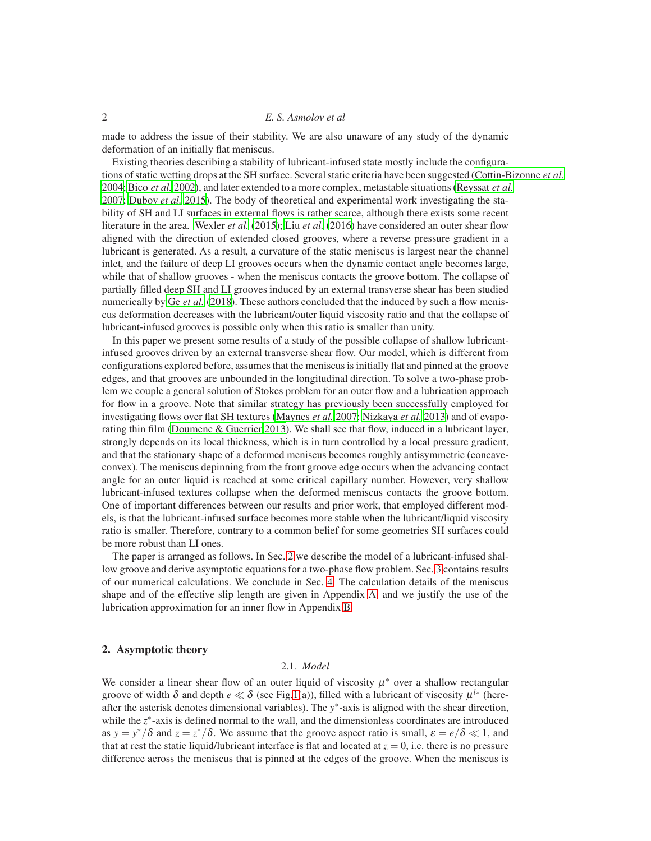made to address the issue of their stability. We are also unaware of any study of the dynamic deformation of an initially flat meniscus.

Existing theories describing a stability of lubricant-infused state mostly include the configurations of static wetting drops at the SH surface. Several static criteria have been suggested [\(Cottin-Bizonne](#page-11-4) *et al.* [2004;](#page-11-4) [Bico](#page-11-5) *et al.* [2002\)](#page-11-5), and later extended to a more complex, metastable situations [\(Reyssat](#page-12-14) *et al.* [2007;](#page-12-14) [Dubov](#page-11-6) *et al.* [2015\)](#page-11-6). The body of theoretical and experimental work investigating the stability of SH and LI surfaces in external flows is rather scarce, although there exists some recent literature in the area. [Wexler](#page-12-15) *et al.* [\(2015\)](#page-12-15); Liu *[et al.](#page-12-16)* [\(2016\)](#page-12-16) have considered an outer shear flow aligned with the direction of extended closed grooves, where a reverse pressure gradient in a lubricant is generated. As a result, a curvature of the static meniscus is largest near the channel inlet, and the failure of deep LI grooves occurs when the dynamic contact angle becomes large, while that of shallow grooves - when the meniscus contacts the groove bottom. The collapse of partially filled deep SH and LI grooves induced by an external transverse shear has been studied numerically by Ge *[et al.](#page-11-7)* [\(2018\)](#page-11-7). These authors concluded that the induced by such a flow meniscus deformation decreases with the lubricant/outer liquid viscosity ratio and that the collapse of lubricant-infused grooves is possible only when this ratio is smaller than unity.

In this paper we present some results of a study of the possible collapse of shallow lubricantinfused grooves driven by an external transverse shear flow. Our model, which is different from configurations explored before, assumes that the meniscus is initially flat and pinned at the groove edges, and that grooves are unbounded in the longitudinal direction. To solve a two-phase problem we couple a general solution of Stokes problem for an outer flow and a lubrication approach for flow in a groove. Note that similar strategy has previously been successfully employed for investigating flows over flat SH textures [\(Maynes](#page-12-17) *et al.* [2007;](#page-12-17) [Nizkaya](#page-12-18) *et al.* [2013\)](#page-12-18) and of evaporating thin film [\(Doumenc & Guerrier 2013\)](#page-11-8). We shall see that flow, induced in a lubricant layer, strongly depends on its local thickness, which is in turn controlled by a local pressure gradient, and that the stationary shape of a deformed meniscus becomes roughly antisymmetric (concaveconvex). The meniscus depinning from the front groove edge occurs when the advancing contact angle for an outer liquid is reached at some critical capillary number. However, very shallow lubricant-infused textures collapse when the deformed meniscus contacts the groove bottom. One of important differences between our results and prior work, that employed different models, is that the lubricant-infused surface becomes more stable when the lubricant/liquid viscosity ratio is smaller. Therefore, contrary to a common belief for some geometries SH surfaces could be more robust than LI ones.

The paper is arranged as follows. In Sec. [2](#page-1-0) we describe the model of a lubricant-infused shallow groove and derive asymptotic equations for a two-phase flow problem. Sec. [3](#page-6-0) contains results of our numerical calculations. We conclude in Sec. [4.](#page-8-0) The calculation details of the meniscus shape and of the effective slip length are given in Appendix [A,](#page-9-0) and we justify the use of the lubrication approximation for an inner flow in Appendix [B.](#page-10-0)

# <span id="page-1-0"></span>2. Asymptotic theory

# 2.1. *Model*

We consider a linear shear flow of an outer liquid of viscosity  $\mu^*$  over a shallow rectangular groove of width  $\delta$  and depth  $e \ll \delta$  (see Fig[.1\(](#page-2-0)a)), filled with a lubricant of viscosity  $\mu^{l*}$  (hereafter the asterisk denotes dimensional variables). The *y* ∗ -axis is aligned with the shear direction, while the *z*<sup>\*</sup>-axis is defined normal to the wall, and the dimensionless coordinates are introduced as  $y = y^*/\delta$  and  $z = z^*/\delta$ . We assume that the groove aspect ratio is small,  $\varepsilon = e/\delta \ll 1$ , and that at rest the static liquid/lubricant interface is flat and located at  $z = 0$ , i.e. there is no pressure difference across the meniscus that is pinned at the edges of the groove. When the meniscus is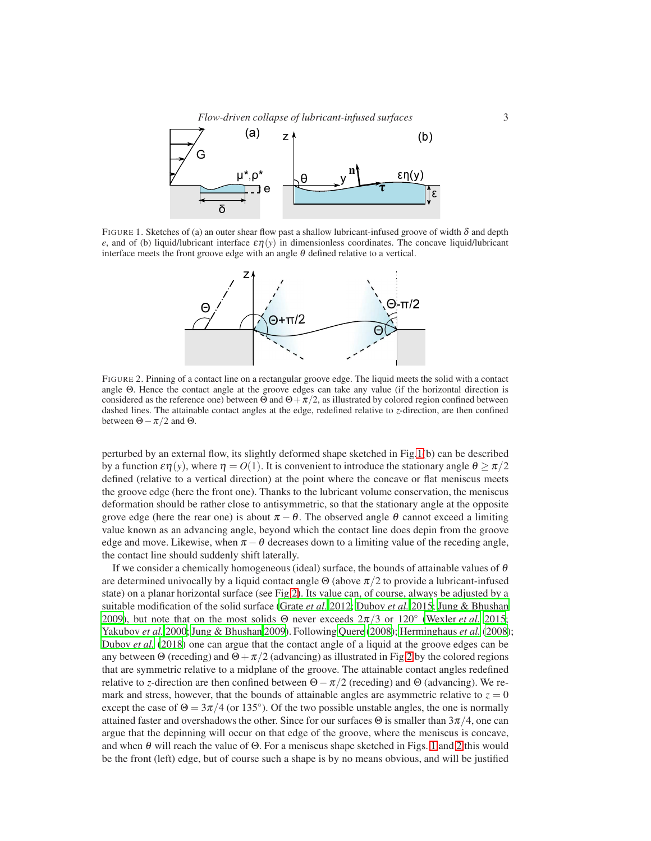

FIGURE 1. Sketches of (a) an outer shear flow past a shallow lubricant-infused groove of width  $\delta$  and depth *e*, and of (b) liquid/lubricant interface  $\epsilon \eta(y)$  in dimensionless coordinates. The concave liquid/lubricant interface meets the front groove edge with an angle  $\theta$  defined relative to a vertical.

<span id="page-2-0"></span>

<span id="page-2-1"></span>FIGURE 2. Pinning of a contact line on a rectangular groove edge. The liquid meets the solid with a contact angle Θ. Hence the contact angle at the groove edges can take any value (if the horizontal direction is considered as the reference one) between  $\Theta$  and  $\Theta + \pi/2$ , as illustrated by colored region confined between dashed lines. The attainable contact angles at the edge, redefined relative to *z*-direction, are then confined between  $\Theta - \pi/2$  and  $\Theta$ .

perturbed by an external flow, its slightly deformed shape sketched in Fig[.1\(](#page-2-0)b) can be described by a function  $\epsilon \eta(y)$ , where  $\eta = O(1)$ . It is convenient to introduce the stationary angle  $\theta \ge \pi/2$ defined (relative to a vertical direction) at the point where the concave or flat meniscus meets the groove edge (here the front one). Thanks to the lubricant volume conservation, the meniscus deformation should be rather close to antisymmetric, so that the stationary angle at the opposite grove edge (here the rear one) is about  $\pi - \theta$ . The observed angle  $\theta$  cannot exceed a limiting value known as an advancing angle, beyond which the contact line does depin from the groove edge and move. Likewise, when  $\pi - \theta$  decreases down to a limiting value of the receding angle, the contact line should suddenly shift laterally.

If we consider a chemically homogeneous (ideal) surface, the bounds of attainable values of  $\theta$ are determined univocally by a liquid contact angle  $\Theta$  (above  $\pi/2$  to provide a lubricant-infused state) on a planar horizontal surface (see Fig[.2\)](#page-2-1). Its value can, of course, always be adjusted by a suitable modification of the solid surface [\(Grate](#page-11-9) *et al.* [2012](#page-11-9); [Dubov](#page-11-6) *et al.* [2015;](#page-11-6) [Jung & Bhushan](#page-12-19) [2009\)](#page-12-19), but note that on the most solids  $\Theta$  never exceeds  $2\pi/3$  or  $120^\circ$  [\(Wexler](#page-12-15) *et al.* [2015;](#page-12-15) [Yakubov](#page-12-20) *et al.* [2000;](#page-12-20) [Jung & Bhushan 2009\)](#page-12-19). Following [Quere \(2008](#page-12-21)); [Herminghaus](#page-12-22) *et al.* [\(2008\)](#page-12-22); [Dubov](#page-11-10) *et al.* [\(2018\)](#page-11-10) one can argue that the contact angle of a liquid at the groove edges can be any between Θ (receding) and  $\Theta + \pi/2$  (advancing) as illustrated in Fig[.2](#page-2-1) by the colored regions that are symmetric relative to a midplane of the groove. The attainable contact angles redefined relative to *z*-direction are then confined between  $\Theta - \pi/2$  (receding) and  $\Theta$  (advancing). We remark and stress, however, that the bounds of attainable angles are asymmetric relative to  $z = 0$ except the case of  $\Theta = 3\pi/4$  (or 135<sup>°</sup>). Of the two possible unstable angles, the one is normally attained faster and overshadows the other. Since for our surfaces  $\Theta$  is smaller than  $3\pi/4$ , one can argue that the depinning will occur on that edge of the groove, where the meniscus is concave, and when  $\theta$  will reach the value of  $\Theta$ . For a meniscus shape sketched in Figs. [1](#page-2-0) and [2](#page-2-1) this would be the front (left) edge, but of course such a shape is by no means obvious, and will be justified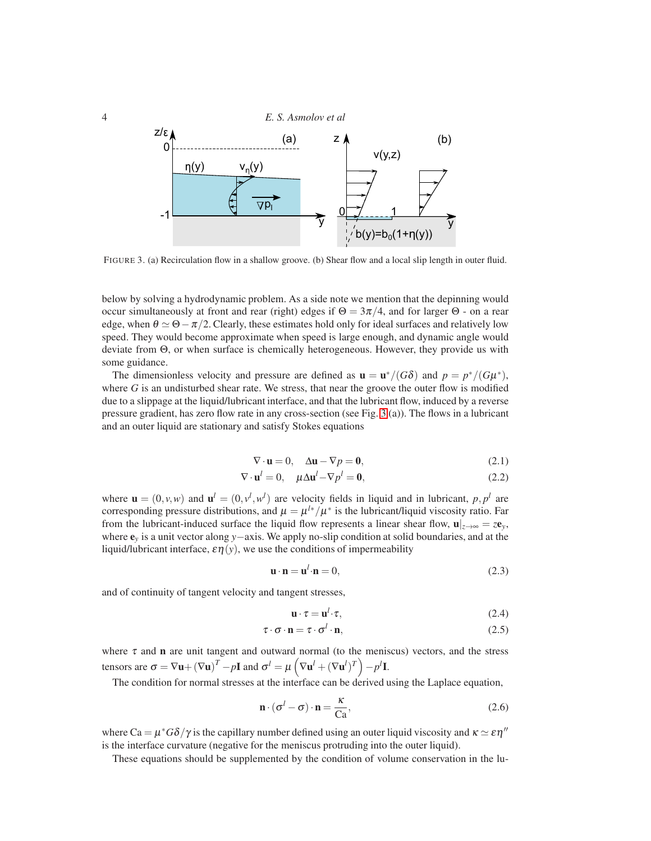

<span id="page-3-0"></span>FIGURE 3. (a) Recirculation flow in a shallow groove. (b) Shear flow and a local slip length in outer fluid.

below by solving a hydrodynamic problem. As a side note we mention that the depinning would occur simultaneously at front and rear (right) edges if  $\Theta = 3\pi/4$ , and for larger  $\Theta$  - on a rear edge, when  $\theta \simeq \Theta - \pi/2$ . Clearly, these estimates hold only for ideal surfaces and relatively low speed. They would become approximate when speed is large enough, and dynamic angle would deviate from Θ, or when surface is chemically heterogeneous. However, they provide us with some guidance.

The dimensionless velocity and pressure are defined as  $\mathbf{u} = \mathbf{u}^*/(G\delta)$  and  $p = p^*/(G\mu^*)$ , where  $G$  is an undisturbed shear rate. We stress, that near the groove the outer flow is modified due to a slippage at the liquid/lubricant interface, and that the lubricant flow, induced by a reverse pressure gradient, has zero flow rate in any cross-section (see Fig. [3](#page-3-0) (a)). The flows in a lubricant and an outer liquid are stationary and satisfy Stokes equations

<span id="page-3-1"></span>
$$
\nabla \cdot \mathbf{u} = 0, \quad \Delta \mathbf{u} - \nabla p = \mathbf{0}, \tag{2.1}
$$

$$
\nabla \cdot \mathbf{u}^l = 0, \quad \mu \Delta \mathbf{u}^l - \nabla p^l = \mathbf{0}, \tag{2.2}
$$

where  $\mathbf{u} = (0, v, w)$  and  $\mathbf{u}^l = (0, v^l, w^l)$  are velocity fields in liquid and in lubricant,  $p, p^l$  are corresponding pressure distributions, and  $\mu = \mu^{l*}/\mu^*$  is the lubricant/liquid viscosity ratio. Far from the lubricant-induced surface the liquid flow represents a linear shear flow,  $\mathbf{u}|_{z\to\infty} = ze_y$ , where e*<sup>y</sup>* is a unit vector along *y*−axis. We apply no-slip condition at solid boundaries, and at the liquid/lubricant interface,  $\varepsilon \eta(y)$ , we use the conditions of impermeability

<span id="page-3-2"></span>
$$
\mathbf{u} \cdot \mathbf{n} = \mathbf{u}^l \cdot \mathbf{n} = 0,\tag{2.3}
$$

and of continuity of tangent velocity and tangent stresses,

<span id="page-3-3"></span>
$$
\mathbf{u} \cdot \boldsymbol{\tau} = \mathbf{u}^l \cdot \boldsymbol{\tau},\tag{2.4}
$$

$$
\tau \cdot \sigma \cdot \mathbf{n} = \tau \cdot \sigma^l \cdot \mathbf{n},\tag{2.5}
$$

where  $\tau$  and **n** are unit tangent and outward normal (to the meniscus) vectors, and the stress tensors are  $\sigma = \nabla \mathbf{u} + (\nabla \mathbf{u})^T - p\mathbf{I}$  and  $\sigma^l = \mu \left( \nabla \mathbf{u}^l + (\nabla \mathbf{u}^l)^T \right) - p^l \mathbf{I}$ .

The condition for normal stresses at the interface can be derived using the Laplace equation,

<span id="page-3-4"></span>
$$
\mathbf{n} \cdot (\sigma^l - \sigma) \cdot \mathbf{n} = \frac{\kappa}{Ca},\tag{2.6}
$$

where Ca =  $\mu^* G \delta / \gamma$  is the capillary number defined using an outer liquid viscosity and  $\kappa \simeq \varepsilon \eta''$ is the interface curvature (negative for the meniscus protruding into the outer liquid).

These equations should be supplemented by the condition of volume conservation in the lu-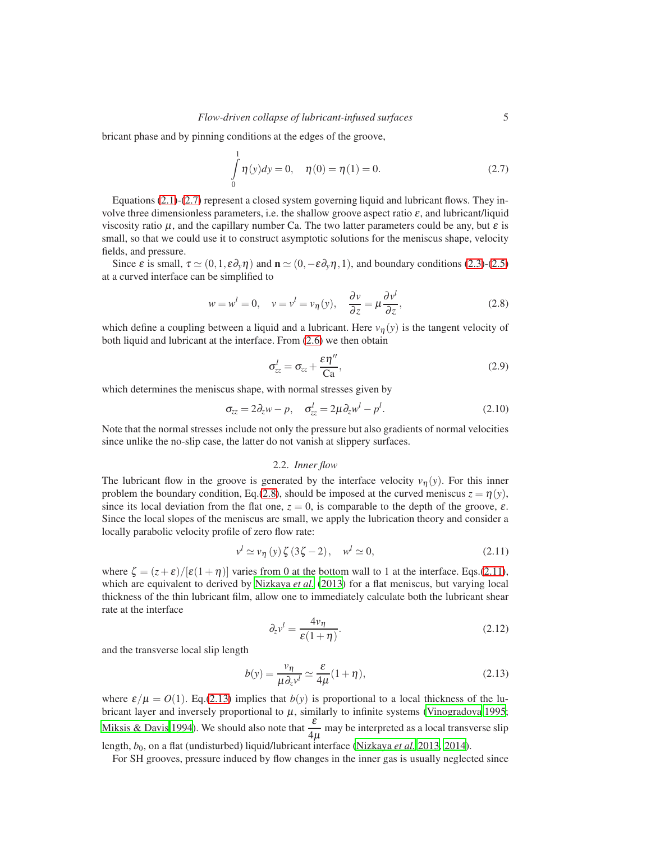bricant phase and by pinning conditions at the edges of the groove,

<span id="page-4-0"></span>
$$
\int_{0}^{1} \eta(y) dy = 0, \quad \eta(0) = \eta(1) = 0.
$$
\n(2.7)

Equations [\(2.1\)](#page-3-1)-[\(2.7\)](#page-4-0) represent a closed system governing liquid and lubricant flows. They involve three dimensionless parameters, i.e. the shallow groove aspect ratio  $\varepsilon$ , and lubricant/liquid viscosity ratio  $\mu$ , and the capillary number Ca. The two latter parameters could be any, but  $\varepsilon$  is small, so that we could use it to construct asymptotic solutions for the meniscus shape, velocity fields, and pressure.

Since  $\varepsilon$  is small,  $\tau \simeq (0,1,\varepsilon \partial_y \eta)$  and  $\mathbf{n} \simeq (0,-\varepsilon \partial_y \eta,1)$ , and boundary conditions [\(2.3\)](#page-3-2)-[\(2.5\)](#page-3-3) at a curved interface can be simplified to

<span id="page-4-1"></span>
$$
w = wl = 0, \quad v = vl = v\eta(y), \quad \frac{\partial v}{\partial z} = \mu \frac{\partial vl}{\partial z}, \tag{2.8}
$$

which define a coupling between a liquid and a lubricant. Here  $v_n(y)$  is the tangent velocity of both liquid and lubricant at the interface. From [\(2.6\)](#page-3-4) we then obtain

<span id="page-4-5"></span>
$$
\sigma_{zz}^l = \sigma_{zz} + \frac{\varepsilon \eta''}{\text{Ca}},\tag{2.9}
$$

which determines the meniscus shape, with normal stresses given by

<span id="page-4-4"></span>
$$
\sigma_{zz} = 2\partial_z w - p, \quad \sigma_{zz}^l = 2\mu \partial_z w^l - p^l. \tag{2.10}
$$

Note that the normal stresses include not only the pressure but also gradients of normal velocities since unlike the no-slip case, the latter do not vanish at slippery surfaces.

#### 2.2. *Inner flow*

The lubricant flow in the groove is generated by the interface velocity  $v_n(y)$ . For this inner problem the boundary condition, Eq.[\(2.8\)](#page-4-1), should be imposed at the curved meniscus  $z = \eta(y)$ , since its local deviation from the flat one,  $z = 0$ , is comparable to the depth of the groove,  $\varepsilon$ . Since the local slopes of the meniscus are small, we apply the lubrication theory and consider a locally parabolic velocity profile of zero flow rate:

<span id="page-4-2"></span>
$$
v^{l} \simeq v_{\eta} \left( y \right) \zeta \left( 3\zeta - 2 \right), \quad w^{l} \simeq 0, \tag{2.11}
$$

where  $\zeta = (z+\epsilon)/[\epsilon(1+\eta)]$  varies from 0 at the bottom wall to 1 at the interface. Eqs.[\(2.11\)](#page-4-2), which are equivalent to derived by [Nizkaya](#page-12-18) *et al.* [\(2013](#page-12-18)) for a flat meniscus, but varying local thickness of the thin lubricant film, allow one to immediately calculate both the lubricant shear rate at the interface

$$
\partial_z v^l = \frac{4v_\eta}{\varepsilon(1+\eta)}.\tag{2.12}
$$

and the transverse local slip length

<span id="page-4-3"></span>
$$
b(y) = \frac{v_{\eta}}{\mu \partial_{z} v^{l}} \simeq \frac{\varepsilon}{4\mu} (1 + \eta), \qquad (2.13)
$$

where  $\varepsilon/\mu = O(1)$ . Eq.[\(2.13\)](#page-4-3) implies that  $b(y)$  is proportional to a local thickness of the lubricant layer and inversely proportional to  $\mu$ , similarly to infinite systems [\(Vinogradova 1995;](#page-12-23) [Miksis & Davis 1994](#page-12-24)). We should also note that  $\frac{\varepsilon}{4\mu}$  may be interpreted as a local transverse slip length, *b*0, on a flat (undisturbed) liquid/lubricant interface [\(Nizkaya](#page-12-18) *et al.* [2013](#page-12-18), [2014](#page-12-1)).

For SH grooves, pressure induced by flow changes in the inner gas is usually neglected since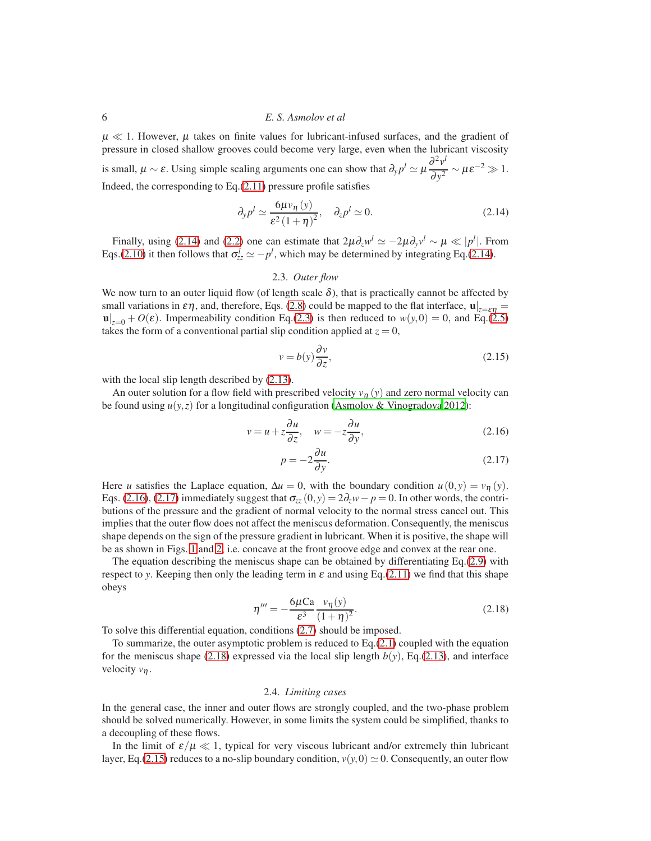$\mu \ll 1$ . However,  $\mu$  takes on finite values for lubricant-infused surfaces, and the gradient of pressure in closed shallow grooves could become very large, even when the lubricant viscosity is small,  $\mu \sim \varepsilon$ . Using simple scaling arguments one can show that  $\partial_y p^l \simeq \mu \frac{\partial^2 v^l}{\partial x^2}$  $rac{\partial y}{\partial y^2} \sim \mu \varepsilon^{-2} \gg 1.$ Indeed, the corresponding to Eq.[\(2.11\)](#page-4-2) pressure profile satisfies

<span id="page-5-0"></span>
$$
\partial_y p^l \simeq \frac{6\mu v_\eta(y)}{\varepsilon^2 (1+\eta)^2}, \quad \partial_z p^l \simeq 0. \tag{2.14}
$$

Finally, using [\(2.14\)](#page-5-0) and [\(2.2\)](#page-3-1) one can estimate that  $2\mu\partial_z w^l \simeq -2\mu\partial_y v^l \sim \mu \ll |p^l|$ . From Eqs.[\(2.10\)](#page-4-4) it then follows that  $\sigma_{zz}^l \simeq -p^l$ , which may be determined by integrating Eq.[\(2.14\)](#page-5-0).

### 2.3. *Outer flow*

We now turn to an outer liquid flow (of length scale  $\delta$ ), that is practically cannot be affected by small variations in  $\epsilon \eta$ , and, therefore, Eqs. [\(2.8\)](#page-4-1) could be mapped to the flat interface,  $\mathbf{u}|_{z=\epsilon \eta} =$  $\mathbf{u}|_{z=0} + O(\varepsilon)$ . Impermeability condition Eq.[\(2.3\)](#page-3-2) is then reduced to  $w(y,0) = 0$ , and Eq.[\(2.5\)](#page-3-3) takes the form of a conventional partial slip condition applied at  $z = 0$ ,

<span id="page-5-4"></span>
$$
v = b(y)\frac{\partial v}{\partial z},\tag{2.15}
$$

with the local slip length described by  $(2.13)$ .

An outer solution for a flow field with prescribed velocity  $v_n(y)$  and zero normal velocity can be found using  $u(y, z)$  for a longitudinal configuration [\(Asmolov & Vinogradova 2012\)](#page-11-11):

$$
v = u + z \frac{\partial u}{\partial z}, \quad w = -z \frac{\partial u}{\partial y}, \tag{2.16}
$$

<span id="page-5-2"></span><span id="page-5-1"></span>
$$
p = -2\frac{\partial u}{\partial y}.\tag{2.17}
$$

Here *u* satisfies the Laplace equation,  $\Delta u = 0$ , with the boundary condition  $u(0, y) = v_{\eta}(y)$ . Eqs. [\(2.16\)](#page-5-1), [\(2.17\)](#page-5-2) immediately suggest that  $\sigma_{zz}(0, y) = 2\partial_z w - p = 0$ . In other words, the contributions of the pressure and the gradient of normal velocity to the normal stress cancel out. This implies that the outer flow does not affect the meniscus deformation. Consequently, the meniscus shape depends on the sign of the pressure gradient in lubricant. When it is positive, the shape will be as shown in Figs. [1](#page-2-0) and [2,](#page-2-1) i.e. concave at the front groove edge and convex at the rear one.

The equation describing the meniscus shape can be obtained by differentiating Eq.[\(2.9\)](#page-4-5) with respect to *y*. Keeping then only the leading term in  $\varepsilon$  and using Eq.[\(2.11\)](#page-4-2) we find that this shape obeys

<span id="page-5-3"></span>
$$
\eta''' = -\frac{6\mu\text{Ca}}{\varepsilon^3} \frac{v_\eta(y)}{(1+\eta)^2}.\tag{2.18}
$$

To solve this differential equation, conditions [\(2.7\)](#page-4-0) should be imposed.

To summarize, the outer asymptotic problem is reduced to Eq.[\(2.1\)](#page-3-1) coupled with the equation for the meniscus shape [\(2.18\)](#page-5-3) expressed via the local slip length  $b(y)$ , Eq.[\(2.13\)](#page-4-3), and interface velocity *v*η.

#### 2.4. *Limiting cases*

In the general case, the inner and outer flows are strongly coupled, and the two-phase problem should be solved numerically. However, in some limits the system could be simplified, thanks to a decoupling of these flows.

In the limit of  $\varepsilon/\mu \ll 1$ , typical for very viscous lubricant and/or extremely thin lubricant layer, Eq.[\(2.15\)](#page-5-4) reduces to a no-slip boundary condition,  $v(y,0) \approx 0$ . Consequently, an outer flow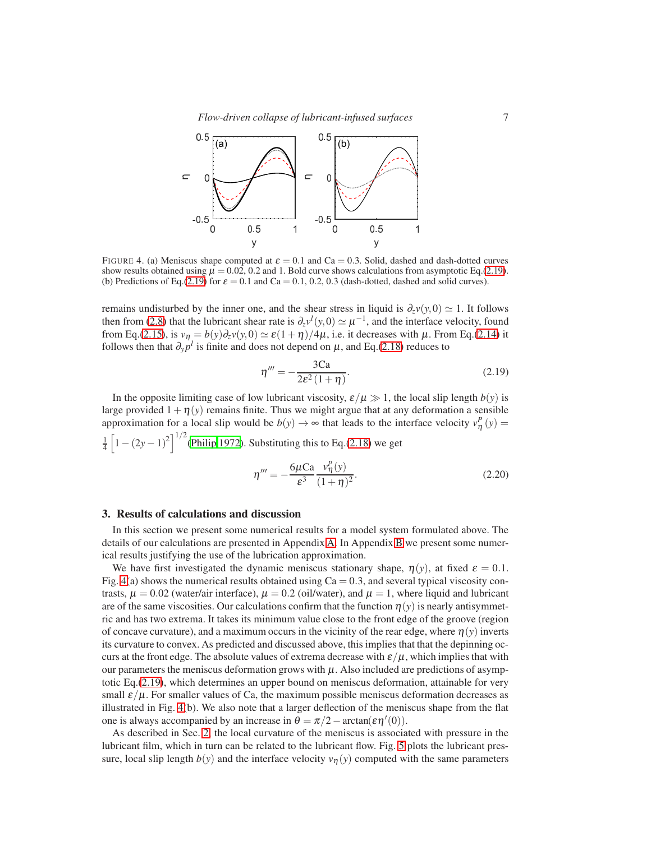*Flow-driven collapse of lubricant-infused surfaces* 7



<span id="page-6-2"></span>FIGURE 4. (a) Meniscus shape computed at  $\varepsilon = 0.1$  and Ca = 0.3. Solid, dashed and dash-dotted curves show results obtained using  $\mu = 0.02, 0.2$  and 1. Bold curve shows calculations from asymptotic Eq.[\(2.19\)](#page-6-1). (b) Predictions of Eq.[\(2.19\)](#page-6-1) for  $\varepsilon = 0.1$  and Ca = 0.1, 0.2, 0.3 (dash-dotted, dashed and solid curves).

remains undisturbed by the inner one, and the shear stress in liquid is  $\partial_z v(y,0) \simeq 1$ . It follows then from [\(2.8\)](#page-4-1) that the lubricant shear rate is  $\partial_z v^l(y,0) \simeq \mu^{-1}$ , and the interface velocity, found from Eq.[\(2.15\)](#page-5-4), is  $v_{\eta} = b(y)\partial_z v(y,0) \simeq \varepsilon(1+\eta)/4\mu$ , i.e. it decreases with  $\mu$ . From Eq.[\(2.14\)](#page-5-0) it follows then that  $\partial_y p^l$  is finite and does not depend on  $\mu$ , and Eq.[\(2.18\)](#page-5-3) reduces to

<span id="page-6-1"></span>
$$
\eta''' = -\frac{3\text{Ca}}{2\epsilon^2 (1+\eta)}.\tag{2.19}
$$

In the opposite limiting case of low lubricant viscosity,  $\varepsilon/\mu \gg 1$ , the local slip length  $b(y)$  is large provided  $1 + \eta(y)$  remains finite. Thus we might argue that at any deformation a sensible approximation for a local slip would be  $b(y) \rightarrow \infty$  that leads to the interface velocity  $v^P_{\eta}(y) =$  $\frac{1}{4}$   $\left[1 - (2y - 1)^2\right]^{1/2}$  [\(Philip 1972\)](#page-12-25). Substituting this to Eq.[\(2.18\)](#page-5-3) we get

<span id="page-6-3"></span>
$$
\eta''' = -\frac{6\mu\text{Ca}}{\varepsilon^3} \frac{v_\eta^p(y)}{(1+\eta)^2}.\tag{2.20}
$$

## <span id="page-6-0"></span>3. Results of calculations and discussion

In this section we present some numerical results for a model system formulated above. The details of our calculations are presented in Appendix [A.](#page-9-0) In Appendix [B](#page-10-0) we present some numerical results justifying the use of the lubrication approximation.

We have first investigated the dynamic meniscus stationary shape,  $\eta(y)$ , at fixed  $\varepsilon = 0.1$ . Fig. [4\(](#page-6-2)a) shows the numerical results obtained using  $Ca = 0.3$ , and several typical viscosity contrasts,  $\mu = 0.02$  (water/air interface),  $\mu = 0.2$  (oil/water), and  $\mu = 1$ , where liquid and lubricant are of the same viscosities. Our calculations confirm that the function  $\eta(y)$  is nearly antisymmetric and has two extrema. It takes its minimum value close to the front edge of the groove (region of concave curvature), and a maximum occurs in the vicinity of the rear edge, where  $\eta(y)$  inverts its curvature to convex. As predicted and discussed above, this implies that that the depinning occurs at the front edge. The absolute values of extrema decrease with  $\varepsilon/\mu$ , which implies that with our parameters the meniscus deformation grows with  $\mu$ . Also included are predictions of asymptotic Eq.[\(2.19\)](#page-6-1), which determines an upper bound on meniscus deformation, attainable for very small  $\varepsilon/\mu$ . For smaller values of Ca, the maximum possible meniscus deformation decreases as illustrated in Fig. [4\(](#page-6-2)b). We also note that a larger deflection of the meniscus shape from the flat one is always accompanied by an increase in  $\theta = \pi/2 - \arctan(\epsilon \eta'(0))$ .

As described in Sec. [2,](#page-1-0) the local curvature of the meniscus is associated with pressure in the lubricant film, which in turn can be related to the lubricant flow. Fig. [5](#page-7-0) plots the lubricant pressure, local slip length  $b(y)$  and the interface velocity  $v<sub>\eta</sub>(y)$  computed with the same parameters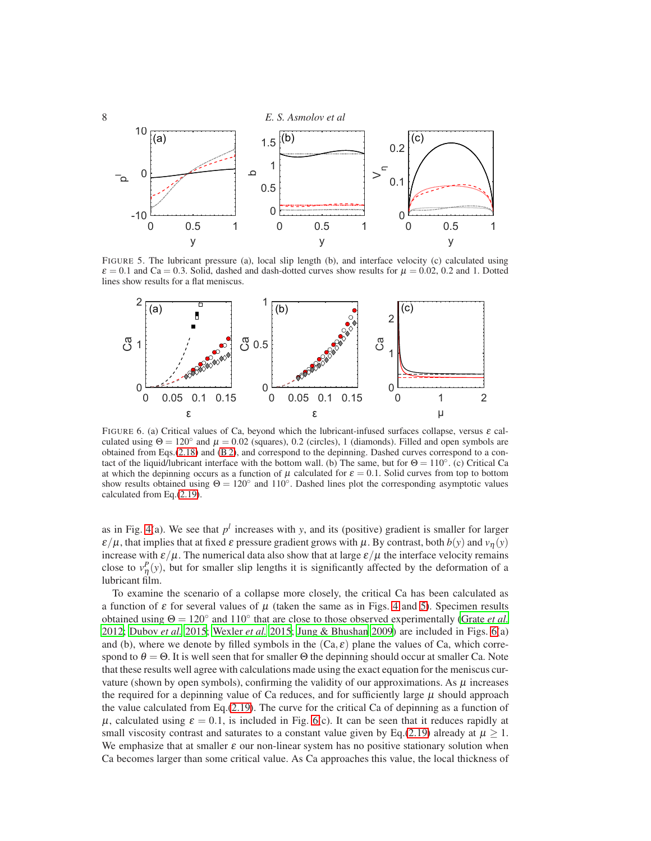

FIGURE 5. The lubricant pressure (a), local slip length (b), and interface velocity (c) calculated using  $\varepsilon = 0.1$  and Ca = 0.3. Solid, dashed and dash-dotted curves show results for  $\mu = 0.02$ , 0.2 and 1. Dotted lines show results for a flat meniscus.

<span id="page-7-0"></span>

<span id="page-7-1"></span>FIGURE 6. (a) Critical values of Ca, beyond which the lubricant-infused surfaces collapse, versus  $\varepsilon$  calculated using  $\Theta = 120^\circ$  and  $\mu = 0.02$  (squares), 0.2 (circles), 1 (diamonds). Filled and open symbols are obtained from Eqs.[\(2.18\)](#page-5-3) and [\(B 2\)](#page-11-12), and correspond to the depinning. Dashed curves correspond to a contact of the liquid/lubricant interface with the bottom wall. (b) The same, but for  $\Theta = 110^\circ$ . (c) Critical Ca at which the depinning occurs as a function of  $\mu$  calculated for  $\varepsilon = 0.1$ . Solid curves from top to bottom show results obtained using  $\Theta = 120^\circ$  and  $110^\circ$ . Dashed lines plot the corresponding asymptotic values calculated from Eq.[\(2.19\)](#page-6-1).

as in Fig. [4\(](#page-6-2)a). We see that  $p<sup>l</sup>$  increases with *y*, and its (positive) gradient is smaller for larger  $\varepsilon/\mu$ , that implies that at fixed  $\varepsilon$  pressure gradient grows with  $\mu$ . By contrast, both  $b(y)$  and  $v_{\eta}(y)$ increase with  $\varepsilon/\mu$ . The numerical data also show that at large  $\varepsilon/\mu$  the interface velocity remains close to  $v^P_{\eta}(y)$ , but for smaller slip lengths it is significantly affected by the deformation of a lubricant film.

To examine the scenario of a collapse more closely, the critical Ca has been calculated as a function of  $\varepsilon$  for several values of  $\mu$  (taken the same as in Figs. [4](#page-6-2) and [5\)](#page-7-0). Specimen results obtained using  $\Theta = 120^\circ$  and  $110^\circ$  that are close to those observed experimentally [\(Grate](#page-11-9) *et al.*) [2012;](#page-11-9) [Dubov](#page-11-6) *et al.* [2015;](#page-11-6) [Wexler](#page-12-15) *et al.* [2015](#page-12-15); [Jung & Bhushan 2009\)](#page-12-19) are included in Figs. [6\(](#page-7-1)a) and (b), where we denote by filled symbols in the  $(Ca, \varepsilon)$  plane the values of Ca, which correspond to  $\theta = \Theta$ . It is well seen that for smaller  $\Theta$  the depinning should occur at smaller Ca. Note that these results well agree with calculations made using the exact equation for the meniscus curvature (shown by open symbols), confirming the validity of our approximations. As  $\mu$  increases the required for a depinning value of Ca reduces, and for sufficiently large  $\mu$  should approach the value calculated from Eq.[\(2.19\)](#page-6-1). The curve for the critical Ca of depinning as a function of  $\mu$ , calculated using  $\varepsilon = 0.1$ , is included in Fig. [6\(](#page-7-1)c). It can be seen that it reduces rapidly at small viscosity contrast and saturates to a constant value given by Eq.[\(2.19\)](#page-6-1) already at  $\mu \geq 1$ . We emphasize that at smaller  $\varepsilon$  our non-linear system has no positive stationary solution when Ca becomes larger than some critical value. As Ca approaches this value, the local thickness of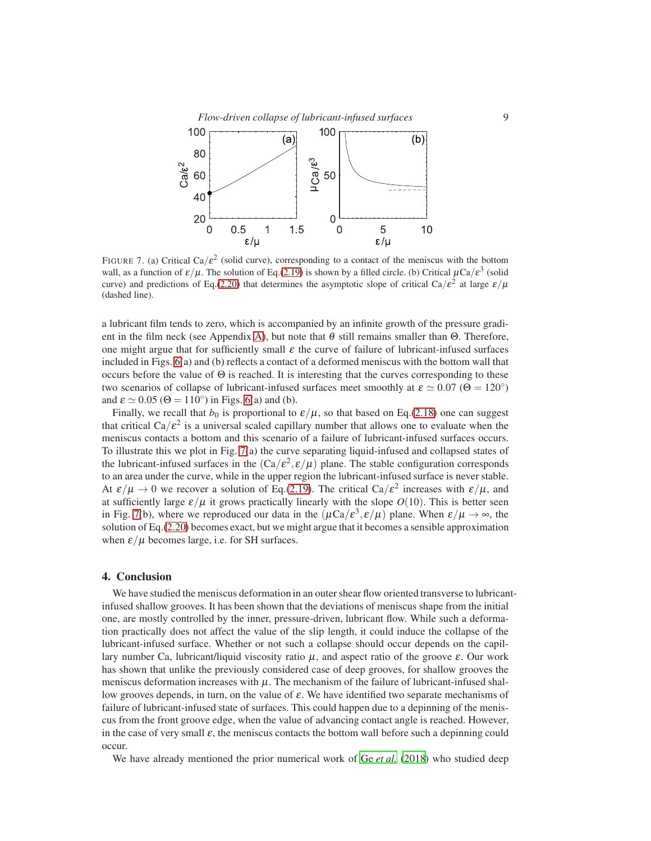### *Flow-driven collapse of lubricant-infused surfaces* 9



<span id="page-8-1"></span>FIGURE 7. (a) Critical Ca/ $\varepsilon^2$  (solid curve), corresponding to a contact of the meniscus with the bottom wall, as a function of  $\varepsilon/\mu$ . The solution of Eq.[\(2.19\)](#page-6-1) is shown by a filled circle. (b) Critical  $\mu Ca/\varepsilon^3$  (solid curve) and predictions of Eq.[\(2.20\)](#page-6-3) that determines the asymptotic slope of critical Ca/ $\varepsilon^2$  at large  $\varepsilon/\mu$ (dashed line).

a lubricant film tends to zero, which is accompanied by an infinite growth of the pressure gradi-ent in the film neck (see Appendix [A\)](#page-9-0), but note that  $\theta$  still remains smaller than  $\Theta$ . Therefore, one might argue that for sufficiently small  $\varepsilon$  the curve of failure of lubricant-infused surfaces included in Figs. [6\(](#page-7-1)a) and (b) reflects a contact of a deformed meniscus with the bottom wall that occurs before the value of  $\Theta$  is reached. It is interesting that the curves corresponding to these two scenarios of collapse of lubricant-infused surfaces meet smoothly at  $\varepsilon \simeq 0.07$  ( $\Theta = 120^{\circ}$ ) and  $\varepsilon \simeq 0.05$  ( $\Theta = 110^{\circ}$ ) in Figs. [6\(](#page-7-1)a) and (b).

Finally, we recall that  $b_0$  is proportional to  $\varepsilon/\mu$ , so that based on Eq.[\(2.18\)](#page-5-3) one can suggest that critical  $Ca/\varepsilon^2$  is a universal scaled capillary number that allows one to evaluate when the meniscus contacts a bottom and this scenario of a failure of lubricant-infused surfaces occurs. To illustrate this we plot in Fig. [7\(](#page-8-1)a) the curve separating liquid-infused and collapsed states of the lubricant-infused surfaces in the  $(Ca/\varepsilon^2, \varepsilon/\mu)$  plane. The stable configuration corresponds to an area under the curve, while in the upper region the lubricant-infused surface is never stable. At  $\varepsilon/\mu \to 0$  we recover a solution of Eq.[\(2.19\)](#page-6-1). The critical Ca/ $\varepsilon^2$  increases with  $\varepsilon/\mu$ , and at sufficiently large  $\varepsilon/\mu$  it grows practically linearly with the slope  $O(10)$ . This is better seen in Fig. [7\(](#page-8-1)b), where we reproduced our data in the  $(\mu Ca/\varepsilon^3, \varepsilon/\mu)$  plane. When  $\varepsilon/\mu \to \infty$ , the solution of Eq.[\(2.20\)](#page-6-3) becomes exact, but we might argue that it becomes a sensible approximation when  $\epsilon/\mu$  becomes large, i.e. for SH surfaces.

## <span id="page-8-0"></span>4. Conclusion

We have studied the meniscus deformation in an outer shear flow oriented transverse to lubricantinfused shallow grooves. It has been shown that the deviations of meniscus shape from the initial one, are mostly controlled by the inner, pressure-driven, lubricant flow. While such a deformation practically does not affect the value of the slip length, it could induce the collapse of the lubricant-infused surface. Whether or not such a collapse should occur depends on the capillary number Ca, lubricant/liquid viscosity ratio  $\mu$ , and aspect ratio of the groove  $\varepsilon$ . Our work has shown that unlike the previously considered case of deep grooves, for shallow grooves the meniscus deformation increases with  $\mu$ . The mechanism of the failure of lubricant-infused shallow grooves depends, in turn, on the value of ε. We have identified two separate mechanisms of failure of lubricant-infused state of surfaces. This could happen due to a depinning of the meniscus from the front groove edge, when the value of advancing contact angle is reached. However, in the case of very small  $\varepsilon$ , the meniscus contacts the bottom wall before such a depinning could occur.

We have already mentioned the prior numerical work of Ge [et al.](#page-11-7) [\(2018](#page-11-7)) who studied deep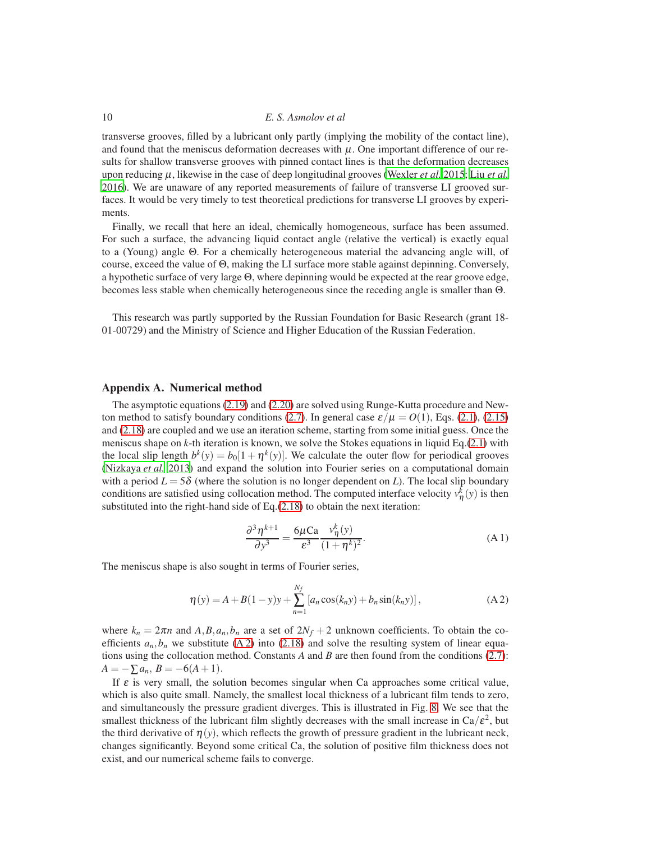transverse grooves, filled by a lubricant only partly (implying the mobility of the contact line), and found that the meniscus deformation decreases with  $\mu$ . One important difference of our results for shallow transverse grooves with pinned contact lines is that the deformation decreases upon reducing  $\mu$ , likewise in the case of deep longitudinal grooves [\(Wexler](#page-12-15) *[et al.](#page-12-16)* [2015](#page-12-15); Liu *et al.* [2016\)](#page-12-16). We are unaware of any reported measurements of failure of transverse LI grooved surfaces. It would be very timely to test theoretical predictions for transverse LI grooves by experiments.

Finally, we recall that here an ideal, chemically homogeneous, surface has been assumed. For such a surface, the advancing liquid contact angle (relative the vertical) is exactly equal to a (Young) angle Θ. For a chemically heterogeneous material the advancing angle will, of course, exceed the value of Θ, making the LI surface more stable against depinning. Conversely, a hypothetic surface of very large Θ, where depinning would be expected at the rear groove edge, becomes less stable when chemically heterogeneous since the receding angle is smaller than Θ.

This research was partly supported by the Russian Foundation for Basic Research (grant 18- 01-00729) and the Ministry of Science and Higher Education of the Russian Federation.

### <span id="page-9-0"></span>Appendix A. Numerical method

The asymptotic equations [\(2.19\)](#page-6-1) and [\(2.20\)](#page-6-3) are solved using Runge-Kutta procedure and New-ton method to satisfy boundary conditions [\(2.7\)](#page-4-0). In general case  $\varepsilon/\mu = O(1)$ , Eqs. [\(2.1\)](#page-3-1), [\(2.15\)](#page-5-4) and [\(2.18\)](#page-5-3) are coupled and we use an iteration scheme, starting from some initial guess. Once the meniscus shape on *k*-th iteration is known, we solve the Stokes equations in liquid Eq.[\(2.1\)](#page-3-1) with the local slip length  $b^k(y) = b_0[1 + \eta^k(y)]$ . We calculate the outer flow for periodical grooves [\(Nizkaya](#page-12-18) *et al.* [2013\)](#page-12-18) and expand the solution into Fourier series on a computational domain with a period  $L = 5\delta$  (where the solution is no longer dependent on L). The local slip boundary conditions are satisfied using collocation method. The computed interface velocity  $v^k_{\eta}(y)$  is then substituted into the right-hand side of Eq.[\(2.18\)](#page-5-3) to obtain the next iteration:

$$
\frac{\partial^3 \eta^{k+1}}{\partial y^3} = \frac{6\mu Ca}{\varepsilon^3} \frac{v_\eta^k(y)}{(1+\eta^k)^2}.
$$
 (A1)

The meniscus shape is also sought in terms of Fourier series,

<span id="page-9-1"></span>
$$
\eta(y) = A + B(1 - y)y + \sum_{n=1}^{N_f} [a_n \cos(k_n y) + b_n \sin(k_n y)],
$$
\n(A2)

where  $k_n = 2\pi n$  and  $A, B, a_n, b_n$  are a set of  $2N_f + 2$  unknown coefficients. To obtain the coefficients  $a_n, b_n$  we substitute [\(A 2\)](#page-9-1) into [\(2.18\)](#page-5-3) and solve the resulting system of linear equations using the collocation method. Constants *A* and *B* are then found from the conditions [\(2.7\)](#page-4-0):  $A = -\sum a_n, B = -6(A+1).$ 

If  $\varepsilon$  is very small, the solution becomes singular when Ca approaches some critical value, which is also quite small. Namely, the smallest local thickness of a lubricant film tends to zero, and simultaneously the pressure gradient diverges. This is illustrated in Fig. [8.](#page-10-1) We see that the smallest thickness of the lubricant film slightly decreases with the small increase in  $Ca/\varepsilon^2$ , but the third derivative of  $\eta(y)$ , which reflects the growth of pressure gradient in the lubricant neck, changes significantly. Beyond some critical Ca, the solution of positive film thickness does not exist, and our numerical scheme fails to converge.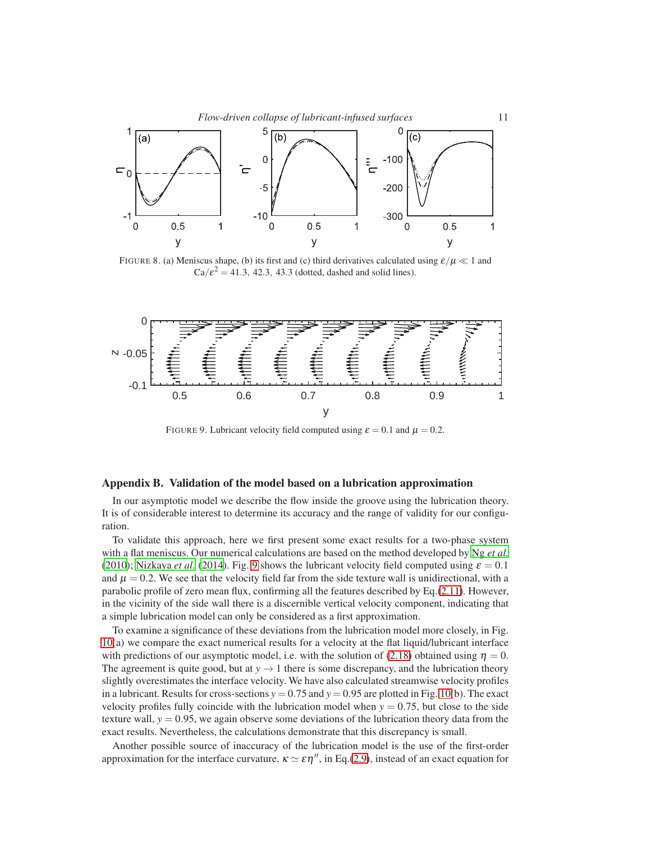

<span id="page-10-1"></span>FIGURE 8. (a) Meniscus shape, (b) its first and (c) third derivatives calculated using  $\varepsilon/\mu \ll 1$  and  $Ca/\varepsilon^2 = 41.3$ , 42.3, 43.3 (dotted, dashed and solid lines).



<span id="page-10-2"></span>FIGURE 9. Lubricant velocity field computed using  $\varepsilon = 0.1$  and  $\mu = 0.2$ .

# <span id="page-10-0"></span>Appendix B. Validation of the model based on a lubrication approximation

In our asymptotic model we describe the flow inside the groove using the lubrication theory. It is of considerable interest to determine its accuracy and the range of validity for our configuration.

To validate this approach, here we first present some exact results for a two-phase system with a flat meniscus. Our numerical calculations are based on the method developed by Ng *[et al.](#page-12-26)* [\(2010](#page-12-26)); [Nizkaya](#page-12-1) *et al.* [\(2014\)](#page-12-1). Fig. [9](#page-10-2) shows the lubricant velocity field computed using  $\varepsilon = 0.1$ and  $\mu = 0.2$ . We see that the velocity field far from the side texture wall is unidirectional, with a parabolic profile of zero mean flux, confirming all the features described by Eq.[\(2.11\)](#page-4-2). However, in the vicinity of the side wall there is a discernible vertical velocity component, indicating that a simple lubrication model can only be considered as a first approximation.

To examine a significance of these deviations from the lubrication model more closely, in Fig. [10\(](#page-11-13)a) we compare the exact numerical results for a velocity at the flat liquid/lubricant interface with predictions of our asymptotic model, i.e. with the solution of [\(2.18\)](#page-5-3) obtained using  $\eta = 0$ . The agreement is quite good, but at  $y \rightarrow 1$  there is some discrepancy, and the lubrication theory slightly overestimates the interface velocity. We have also calculated streamwise velocity profiles in a lubricant. Results for cross-sections  $y = 0.75$  and  $y = 0.95$  are plotted in Fig. [10\(](#page-11-13)b). The exact velocity profiles fully coincide with the lubrication model when  $y = 0.75$ , but close to the side texture wall,  $y = 0.95$ , we again observe some deviations of the lubrication theory data from the exact results. Nevertheless, the calculations demonstrate that this discrepancy is small.

Another possible source of inaccuracy of the lubrication model is the use of the first-order approximation for the interface curvature,  $\kappa \simeq \varepsilon \eta''$ , in Eq.[\(2.9\)](#page-4-5), instead of an exact equation for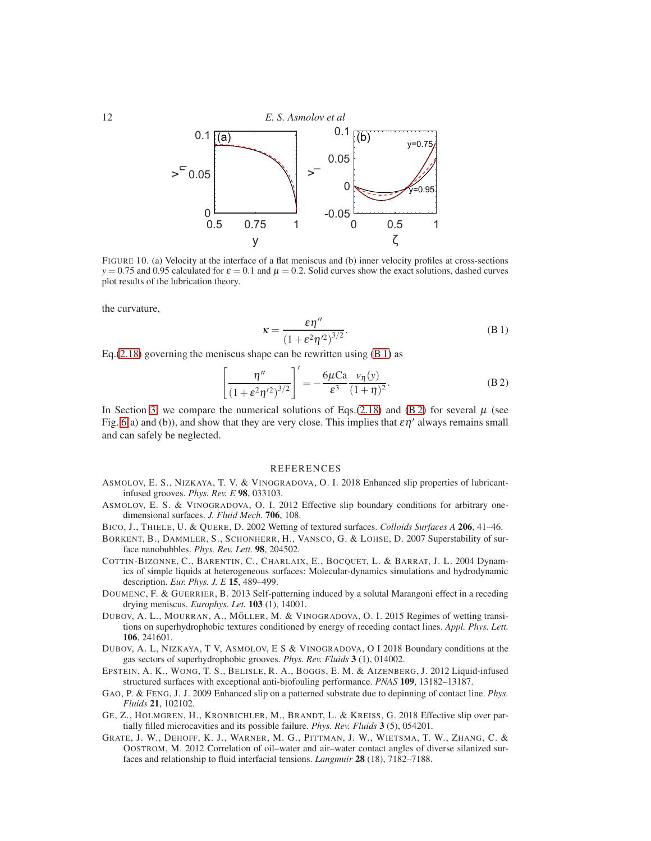

<span id="page-11-13"></span>FIGURE 10. (a) Velocity at the interface of a flat meniscus and (b) inner velocity profiles at cross-sections  $y = 0.75$  and 0.95 calculated for  $\varepsilon = 0.1$  and  $\mu = 0.2$ . Solid curves show the exact solutions, dashed curves plot results of the lubrication theory.

the curvature,

<span id="page-11-14"></span>
$$
\kappa = \frac{\varepsilon \eta''}{\left(1 + \varepsilon^2 \eta'^2\right)^{3/2}}.\tag{B.1}
$$

Eq.[\(2.18\)](#page-5-3) governing the meniscus shape can be rewritten using  $(B 1)$  as

<span id="page-11-12"></span>
$$
\left[\frac{\eta''}{\left(1+\varepsilon^2\eta'^2\right)^{3/2}}\right]' = -\frac{6\mu\text{Ca}}{\varepsilon^3}\frac{v_\eta(y)}{(1+\eta)^2}.\tag{B.2}
$$

In Section [3,](#page-6-0) we compare the numerical solutions of Eqs.[\(2.18\)](#page-5-3) and [\(B 2\)](#page-11-12) for several  $\mu$  (see Fig. [6\(](#page-7-1)a) and (b)), and show that they are very close. This implies that  $\epsilon \eta'$  always remains small and can safely be neglected.

# **REFERENCES**

- <span id="page-11-0"></span>ASMOLOV, E. S., NIZKAYA, T. V. & VINOGRADOVA, O. I. 2018 Enhanced slip properties of lubricantinfused grooves. *Phys. Rev. E* 98, 033103.
- <span id="page-11-11"></span>ASMOLOV, E. S. & VINOGRADOVA, O. I. 2012 Effective slip boundary conditions for arbitrary onedimensional surfaces. *J. Fluid Mech.* 706, 108.
- <span id="page-11-5"></span>BICO, J., THIELE, U. & QUERE, D. 2002 Wetting of textured surfaces. *Colloids Surfaces A* 206, 41–46.
- <span id="page-11-2"></span>BORKENT, B., DAMMLER, S., SCHONHERR, H., VANSCO, G. & LOHSE, D. 2007 Superstability of surface nanobubbles. *Phys. Rev. Lett.* 98, 204502.
- <span id="page-11-4"></span>COTTIN-BIZONNE, C., BARENTIN, C., CHARLAIX, E., BOCQUET, L. & BARRAT, J. L. 2004 Dynamics of simple liquids at heterogeneous surfaces: Molecular-dynamics simulations and hydrodynamic description. *Eur. Phys. J. E* 15, 489–499.
- <span id="page-11-8"></span>DOUMENC, F. & GUERRIER, B. 2013 Self-patterning induced by a solutal Marangoni effect in a receding drying meniscus. *Europhys. Let.* 103 (1), 14001.
- <span id="page-11-6"></span>DUBOV, A. L., MOURRAN, A., MÖLLER, M. & VINOGRADOVA, O. I. 2015 Regimes of wetting transitions on superhydrophobic textures conditioned by energy of receding contact lines. *Appl. Phys. Lett.* 106, 241601.
- <span id="page-11-10"></span>DUBOV, A. L, NIZKAYA, T V, ASMOLOV, E S & VINOGRADOVA, O I 2018 Boundary conditions at the gas sectors of superhydrophobic grooves. *Phys. Rev. Fluids* 3 (1), 014002.
- <span id="page-11-1"></span>EPSTEIN, A. K., WONG, T. S., BELISLE, R. A., BOGGS, E. M. & AIZENBERG, J. 2012 Liquid-infused structured surfaces with exceptional anti-biofouling performance. *PNAS* 109, 13182–13187.
- <span id="page-11-3"></span>GAO, P. & FENG, J. J. 2009 Enhanced slip on a patterned substrate due to depinning of contact line. *Phys. Fluids* 21, 102102.
- <span id="page-11-7"></span>GE, Z., HOLMGREN, H., KRONBICHLER, M., BRANDT, L. & KREISS, G. 2018 Effective slip over partially filled microcavities and its possible failure. *Phys. Rev. Fluids* 3 (5), 054201.
- <span id="page-11-9"></span>GRATE, J. W., DEHOFF, K. J., WARNER, M. G., PITTMAN, J. W., WIETSMA, T. W., ZHANG, C. & OOSTROM, M. 2012 Correlation of oil–water and air–water contact angles of diverse silanized surfaces and relationship to fluid interfacial tensions. *Langmuir* 28 (18), 7182–7188.